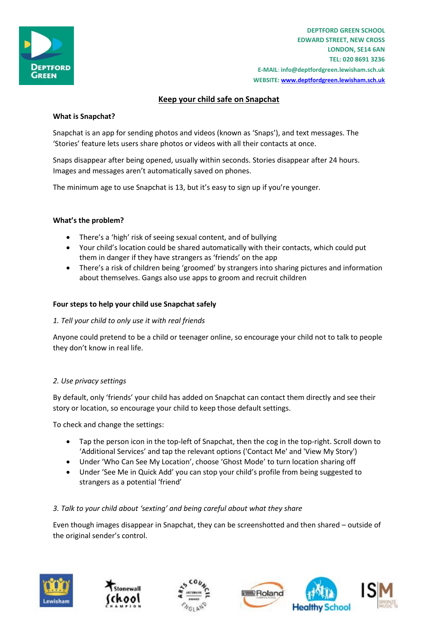

**DEPTFORD GREEN SCHOOL EDWARD STREET, NEW CROSS LONDON, SE14 6AN TEL: 020 8691 3236 E-MAIL**: **info@deptfordgreen.lewisham.sch.uk WEBSITE: www.deptfordgreen.lewisham.sch.uk**

# **Keep your child safe on Snapchat**

## **What is Snapchat?**

Snapchat is an app for sending photos and videos (known as 'Snaps'), and text messages. The 'Stories' feature lets users share photos or videos with all their contacts at once.

Snaps disappear after being opened, usually within seconds. Stories disappear after 24 hours. Images and messages aren't automatically saved on phones.

The minimum age to use Snapchat is 13, but it's easy to sign up if you're younger.

## **What's the problem?**

- There's a 'high' risk of seeing sexual content, and of bullying
- Your child's location could be shared automatically with their contacts, which could put them in danger if they have strangers as 'friends' on the app
- There's a risk of children being 'groomed' by strangers into sharing pictures and information about themselves. Gangs also use apps to groom and recruit children

## **Four steps to help your child use Snapchat safely**

## *1. Tell your child to only use it with real friends*

Anyone could pretend to be a child or teenager online, so encourage your child not to talk to people they don't know in real life.

## *2. Use privacy settings*

By default, only 'friends' your child has added on Snapchat can contact them directly and see their story or location, so encourage your child to keep those default settings.

To check and change the settings:

- Tap the person icon in the top-left of Snapchat, then the cog in the top-right. Scroll down to 'Additional Services' and tap the relevant options ('Contact Me' and 'View My Story')
- Under 'Who Can See My Location', choose 'Ghost Mode' to turn location sharing off
- Under 'See Me in Quick Add' you can stop your child's profile from being suggested to strangers as a potential 'friend'

# *3. Talk to your child about 'sexting' and being careful about what they share*

Even though images disappear in Snapchat, they can be screenshotted and then shared – outside of the original sender's control.